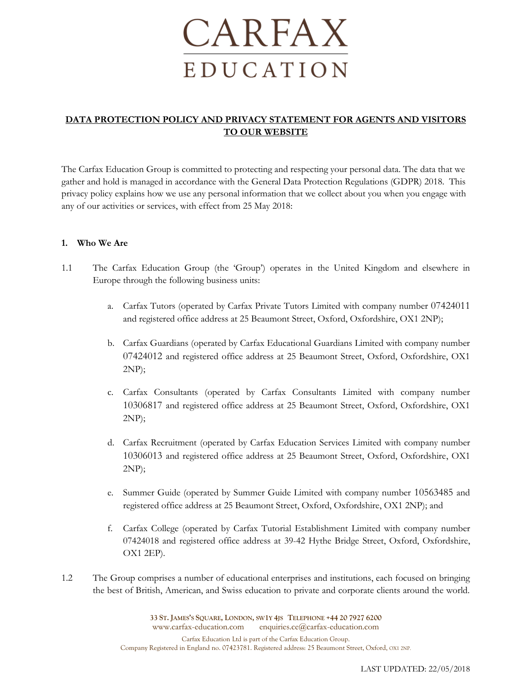

# **DATA PROTECTION POLICY AND PRIVACY STATEMENT FOR AGENTS AND VISITORS TO OUR WEBSITE**

The Carfax Education Group is committed to protecting and respecting your personal data. The data that we gather and hold is managed in accordance with the General Data Protection Regulations (GDPR) 2018. This privacy policy explains how we use any personal information that we collect about you when you engage with any of our activities or services, with effect from 25 May 2018:

## **1. Who We Are**

- 1.1 The Carfax Education Group (the 'Group') operates in the United Kingdom and elsewhere in Europe through the following business units:
	- a. Carfax Tutors (operated by Carfax Private Tutors Limited with company number 07424011 and registered office address at 25 Beaumont Street, Oxford, Oxfordshire, OX1 2NP);
	- b. Carfax Guardians (operated by Carfax Educational Guardians Limited with company number 07424012 and registered office address at 25 Beaumont Street, Oxford, Oxfordshire, OX1 2NP);
	- c. Carfax Consultants (operated by Carfax Consultants Limited with company number 10306817 and registered office address at 25 Beaumont Street, Oxford, Oxfordshire, OX1 2NP);
	- d. Carfax Recruitment (operated by Carfax Education Services Limited with company number 10306013 and registered office address at 25 Beaumont Street, Oxford, Oxfordshire, OX1 2NP);
	- e. Summer Guide (operated by Summer Guide Limited with company number 10563485 and registered office address at 25 Beaumont Street, Oxford, Oxfordshire, OX1 2NP); and
	- f. Carfax College (operated by Carfax Tutorial Establishment Limited with company number 07424018 and registered office address at 39-42 Hythe Bridge Street, Oxford, Oxfordshire, OX1 2EP).
- 1.2 The Group comprises a number of educational enterprises and institutions, each focused on bringing the best of British, American, and Swiss education to private and corporate clients around the world.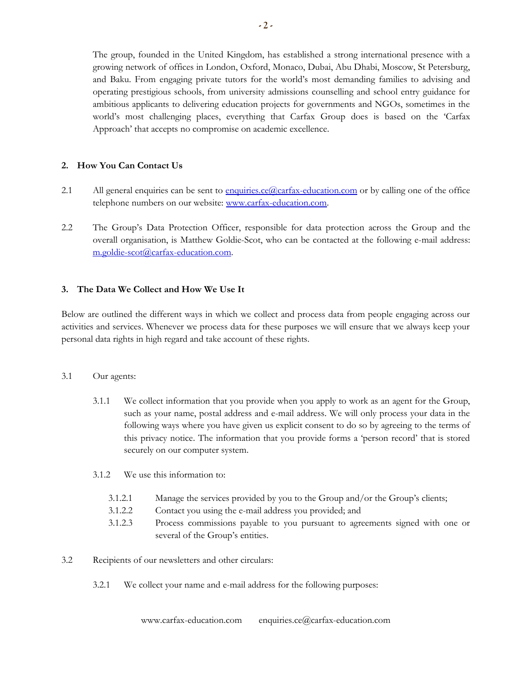The group, founded in the United Kingdom, has established a strong international presence with a growing network of offices in London, Oxford, Monaco, Dubai, Abu Dhabi, Moscow, St Petersburg, and Baku. From engaging private tutors for the world's most demanding families to advising and operating prestigious schools, from university admissions counselling and school entry guidance for ambitious applicants to delivering education projects for governments and NGOs, sometimes in the world's most challenging places, everything that Carfax Group does is based on the 'Carfax Approach' that accepts no compromise on academic excellence.

## **2. How You Can Contact Us**

- 2.1 All general enquiries can be sent to [enquiries.ce@carfax-education.com](mailto:enquiries.ce@carfax-education.com) or by calling one of the office telephone numbers on our website: [www.carfax-education.com.](http://www.carfax-education.com/)
- 2.2 The Group's Data Protection Officer, responsible for data protection across the Group and the overall organisation, is Matthew Goldie-Scot, who can be contacted at the following e-mail address: [m.goldie-scot@carfax-education.com.](mailto:m.goldie-scot@carfax-education.com)

# **3. The Data We Collect and How We Use It**

Below are outlined the different ways in which we collect and process data from people engaging across our activities and services. Whenever we process data for these purposes we will ensure that we always keep your personal data rights in high regard and take account of these rights.

## 3.1 Our agents:

- 3.1.1 We collect information that you provide when you apply to work as an agent for the Group, such as your name, postal address and e-mail address. We will only process your data in the following ways where you have given us explicit consent to do so by agreeing to the terms of this privacy notice. The information that you provide forms a 'person record' that is stored securely on our computer system.
- 3.1.2 We use this information to:
	- 3.1.2.1 Manage the services provided by you to the Group and/or the Group's clients;
	- 3.1.2.2 Contact you using the e-mail address you provided; and
	- 3.1.2.3 Process commissions payable to you pursuant to agreements signed with one or several of the Group's entities.
- 3.2 Recipients of our newsletters and other circulars:
	- 3.2.1 We collect your name and e-mail address for the following purposes:

www.carfax-education.com enquiries.ce@carfax-education.com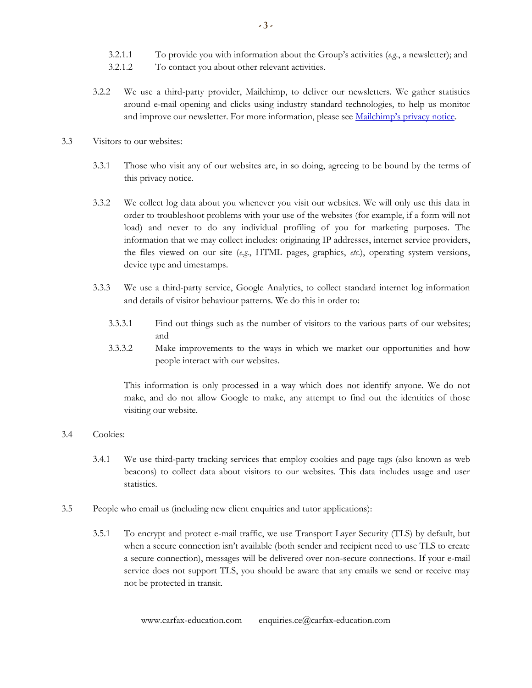- 3.2.1.1 To provide you with information about the Group's activities (*e.g.*, a newsletter); and
- 3.2.1.2 To contact you about other relevant activities.
- 3.2.2 We use a third-party provider, Mailchimp, to deliver our newsletters. We gather statistics around e-mail opening and clicks using industry standard technologies, to help us monitor and improve our newsletter. For more information, please see [Mailchimp's pr](https://mailchimp.com/legal/privacy/)ivacy notice.
- 3.3 Visitors to our websites:
	- 3.3.1 Those who visit any of our websites are, in so doing, agreeing to be bound by the terms of this privacy notice.
	- 3.3.2 We collect log data about you whenever you visit our websites. We will only use this data in order to troubleshoot problems with your use of the websites (for example, if a form will not load) and never to do any individual profiling of you for marketing purposes. The information that we may collect includes: originating IP addresses, internet service providers, the files viewed on our site (*e.g.*, HTML pages, graphics, *etc*.), operating system versions, device type and timestamps.
	- 3.3.3 We use a third-party service, Google Analytics, to collect standard internet log information and details of visitor behaviour patterns. We do this in order to:
		- 3.3.3.1 Find out things such as the number of visitors to the various parts of our websites; and
		- 3.3.3.2 Make improvements to the ways in which we market our opportunities and how people interact with our websites.

This information is only processed in a way which does not identify anyone. We do not make, and do not allow Google to make, any attempt to find out the identities of those visiting our website.

- 3.4 Cookies:
	- 3.4.1 We use third-party tracking services that employ cookies and page tags (also known as web beacons) to collect data about visitors to our websites. This data includes usage and user statistics.
- 3.5 People who email us (including new client enquiries and tutor applications):
	- 3.5.1 To encrypt and protect e-mail traffic, we use Transport Layer Security (TLS) by default, but when a secure connection isn't available (both sender and recipient need to use TLS to create a secure connection), messages will be delivered over non-secure connections. If your e-mail service does not support TLS, you should be aware that any emails we send or receive may not be protected in transit.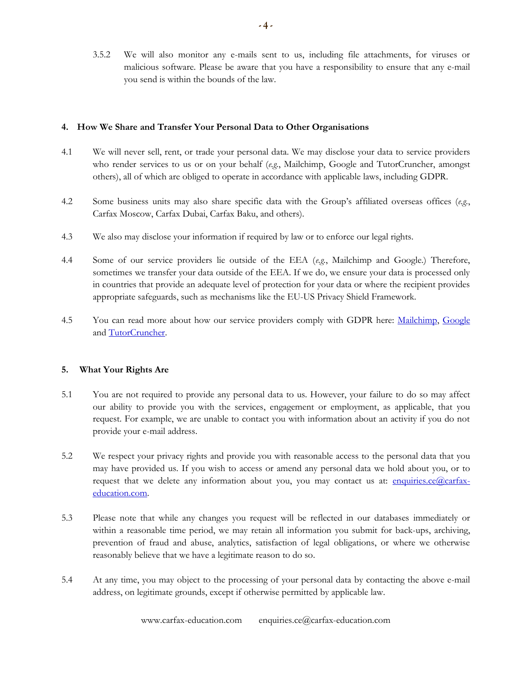3.5.2 We will also monitor any e-mails sent to us, including file attachments, for viruses or malicious software. Please be aware that you have a responsibility to ensure that any e-mail you send is within the bounds of the law.

#### **4. How We Share and Transfer Your Personal Data to Other Organisations**

- 4.1 We will never sell, rent, or trade your personal data. We may disclose your data to service providers who render services to us or on your behalf (*e.g.*, Mailchimp, Google and TutorCruncher, amongst others), all of which are obliged to operate in accordance with applicable laws, including GDPR.
- 4.2 Some business units may also share specific data with the Group's affiliated overseas offices (*e.g.*, Carfax Moscow, Carfax Dubai, Carfax Baku, and others).
- 4.3 We also may disclose your information if required by law or to enforce our legal rights.
- 4.4 Some of our service providers lie outside of the EEA (*e.g.*, Mailchimp and Google.) Therefore, sometimes we transfer your data outside of the EEA. If we do, we ensure your data is processed only in countries that provide an adequate level of protection for your data or where the recipient provides appropriate safeguards, such as mechanisms like the EU-US Privacy Shield Framework.
- 4.5 You can read more about how our service providers comply with GDPR here: [Mailchimp,](https://kb.mailchimp.com/accounts/management/about-mailchimp-the-eu-swiss-privacy-shield-and-the-gdpr) [Google](https://cloud.google.com/security/gdpr/) and [TutorCruncher.](https://tutorcruncher.com/blog/tutorcruncher-and-gdpr)

## **5. What Your Rights Are**

- 5.1 You are not required to provide any personal data to us. However, your failure to do so may affect our ability to provide you with the services, engagement or employment, as applicable, that you request. For example, we are unable to contact you with information about an activity if you do not provide your e-mail address.
- 5.2 We respect your privacy rights and provide you with reasonable access to the personal data that you may have provided us. If you wish to access or amend any personal data we hold about you, or to request that we delete any information about you, you may contact us at: [enquiries.ce@carfax](mailto:enquiries.ce@carfax-education.com)[education.com.](mailto:enquiries.ce@carfax-education.com)
- 5.3 Please note that while any changes you request will be reflected in our databases immediately or within a reasonable time period, we may retain all information you submit for back-ups, archiving, prevention of fraud and abuse, analytics, satisfaction of legal obligations, or where we otherwise reasonably believe that we have a legitimate reason to do so.
- 5.4 At any time, you may object to the processing of your personal data by contacting the above e-mail address, on legitimate grounds, except if otherwise permitted by applicable law.